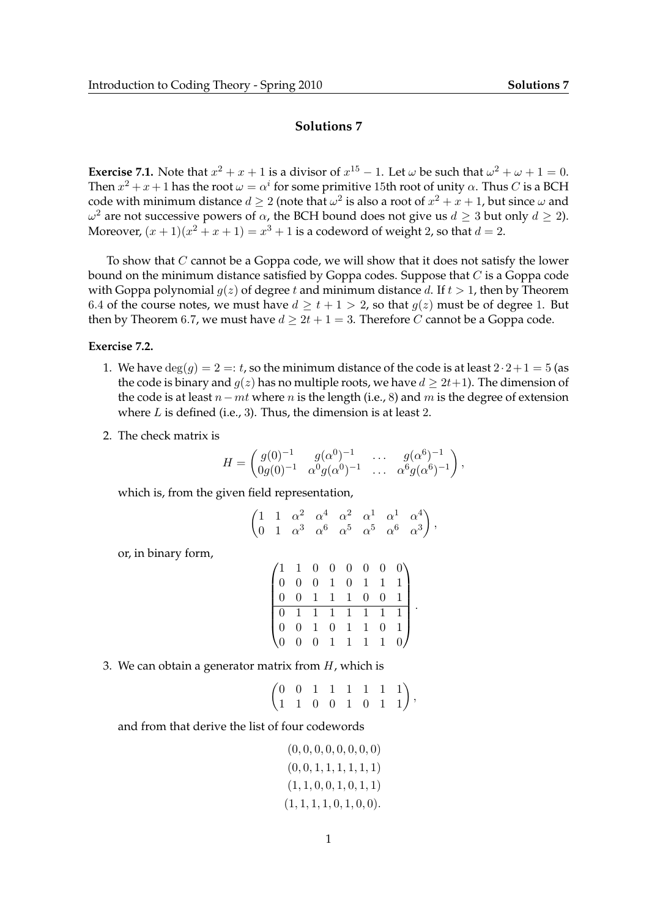## **Solutions 7**

**Exercise 7.1.** Note that  $x^2 + x + 1$  is a divisor of  $x^{15} - 1$ . Let  $\omega$  be such that  $\omega^2 + \omega + 1 = 0$ . Then  $x^2 + x + 1$  has the root  $\omega = \alpha^i$  for some primitive 15th root of unity  $\alpha$ . Thus  $C$  is a BCH code with minimum distance  $d\geq 2$  (note that  $\omega^2$  is also a root of  $x^2+x+1$ , but since  $\omega$  and  $ω^2$  are not successive powers of  $α$ , the BCH bound does not give us  $d ≥ 3$  but only  $d ≥ 2$ ). Moreover,  $(x + 1)(x^2 + x + 1) = x^3 + 1$  is a codeword of weight 2, so that  $d = 2$ .

To show that  $C$  cannot be a Goppa code, we will show that it does not satisfy the lower bound on the minimum distance satisfied by Goppa codes. Suppose that  $C$  is a Goppa code with Goppa polynomial  $g(z)$  of degree t and minimum distance d. If  $t > 1$ , then by Theorem 6.4 of the course notes, we must have  $d > t + 1 > 2$ , so that  $q(z)$  must be of degree 1. But then by Theorem 6.7, we must have  $d \geq 2t + 1 = 3$ . Therefore C cannot be a Goppa code.

## **Exercise 7.2.**

- 1. We have  $deg(q) = 2 =: t$ , so the minimum distance of the code is at least  $2 \cdot 2 + 1 = 5$  (as the code is binary and  $q(z)$  has no multiple roots, we have  $d \geq 2t+1$ ). The dimension of the code is at least  $n-mt$  where n is the length (i.e., 8) and m is the degree of extension where  $L$  is defined (i.e., 3). Thus, the dimension is at least 2.
- 2. The check matrix is

$$
H = \begin{pmatrix} g(0)^{-1} & g(\alpha^0)^{-1} & \dots & g(\alpha^6)^{-1} \\ 0g(0)^{-1} & \alpha^0 g(\alpha^0)^{-1} & \dots & \alpha^6 g(\alpha^6)^{-1} \end{pmatrix},
$$

which is, from the given field representation,

$$
\begin{pmatrix} 1 & 1 & \alpha^2 & \alpha^4 & \alpha^2 & \alpha^1 & \alpha^1 & \alpha^4 \\ 0 & 1 & \alpha^3 & \alpha^6 & \alpha^5 & \alpha^5 & \alpha^6 & \alpha^3 \end{pmatrix},
$$

or, in binary form,

$$
\begin{pmatrix}\n1 & 1 & 0 & 0 & 0 & 0 & 0 & 0 \\
0 & 0 & 0 & 1 & 0 & 1 & 1 & 1 \\
0 & 0 & 1 & 1 & 1 & 0 & 0 & 1 \\
0 & 1 & 1 & 1 & 1 & 1 & 1 & 1 \\
0 & 0 & 1 & 0 & 1 & 1 & 0 & 1 \\
0 & 0 & 0 & 1 & 1 & 1 & 1 & 0\n\end{pmatrix}.
$$

3. We can obtain a generator matrix from  $H$ , which is

| $\begin{pmatrix} 0 & 0 & 1 & 1 & 1 & 1 & 1 & 1 \\ 1 & 1 & 0 & 0 & 1 & 0 & 1 & 1 \end{pmatrix},$ |  |  |  |  |
|-------------------------------------------------------------------------------------------------|--|--|--|--|

and from that derive the list of four codewords

$$
(0, 0, 0, 0, 0, 0, 0, 0, 0)(0, 0, 1, 1, 1, 1, 1, 1)(1, 1, 0, 0, 1, 0, 1, 1)(1, 1, 1, 1, 0, 1, 0, 0).
$$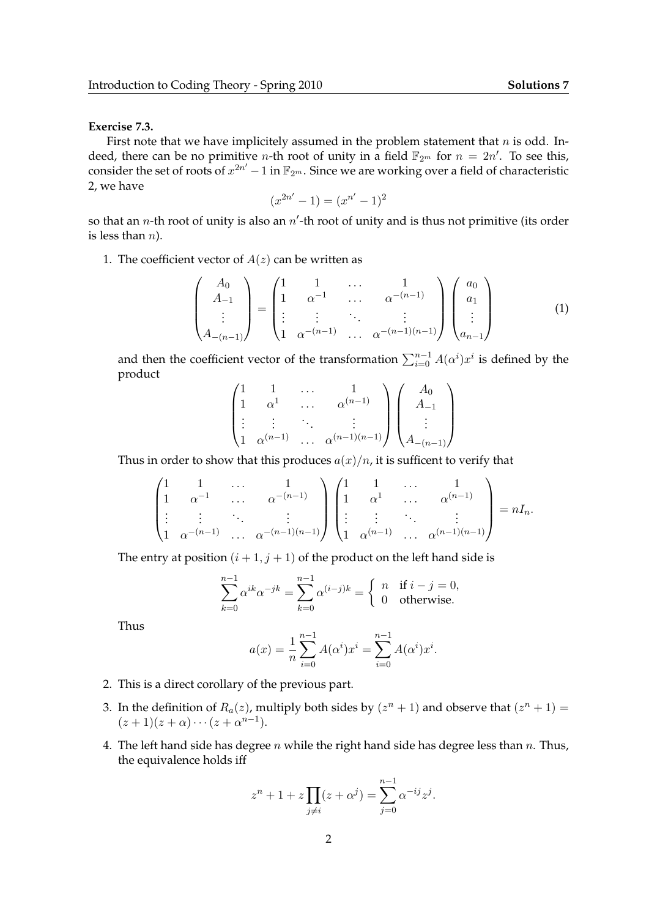## **Exercise 7.3.**

First note that we have implicitely assumed in the problem statement that  $n$  is odd. Indeed, there can be no primitive *n*-th root of unity in a field  $\mathbb{F}_{2^m}$  for  $n = 2n'$ . To see this, consider the set of roots of  $x^{2n'} - 1$  in  $\mathbb{F}_{2^m}$ . Since we are working over a field of characteristic 2, we have

$$
(x^{2n'} - 1) = (x^{n'} - 1)^2
$$

so that an *n*-th root of unity is also an  $n'$ -th root of unity and is thus not primitive (its order is less than  $n$ ).

1. The coefficient vector of  $A(z)$  can be written as

$$
\begin{pmatrix}\nA_0 \\
A_{-1} \\
\vdots \\
A_{-(n-1)}\n\end{pmatrix} = \begin{pmatrix}\n1 & 1 & \cdots & 1 \\
1 & \alpha^{-1} & \cdots & \alpha^{-(n-1)} \\
\vdots & \vdots & \ddots & \vdots \\
1 & \alpha^{-(n-1)} & \cdots & \alpha^{-(n-1)(n-1)}\n\end{pmatrix} \begin{pmatrix}\na_0 \\
a_1 \\
\vdots \\
a_{n-1}\n\end{pmatrix}
$$
\n(1)

and then the coefficient vector of the transformation  $\sum_{i=0}^{n-1} A(\alpha^i) x^i$  is defined by the product

$$
\begin{pmatrix}\n1 & 1 & \dots & 1 \\
1 & \alpha^1 & \dots & \alpha^{(n-1)} \\
\vdots & \vdots & \ddots & \vdots \\
1 & \alpha^{(n-1)} & \dots & \alpha^{(n-1)(n-1)}\n\end{pmatrix}\n\begin{pmatrix}\nA_0 \\
A_{-1} \\
\vdots \\
A_{-(n-1)}\n\end{pmatrix}
$$

Thus in order to show that this produces  $a(x)/n$ , it is sufficent to verify that

$$
\begin{pmatrix}\n1 & 1 & \dots & 1 \\
1 & \alpha^{-1} & \dots & \alpha^{-(n-1)} \\
\vdots & \vdots & \ddots & \vdots \\
1 & \alpha^{-(n-1)} & \dots & \alpha^{-(n-1)(n-1)}\n\end{pmatrix}\n\begin{pmatrix}\n1 & 1 & \dots & 1 \\
1 & \alpha^{1} & \dots & \alpha^{(n-1)} \\
\vdots & \vdots & \ddots & \vdots \\
1 & \alpha^{(n-1)} & \dots & \alpha^{(n-1)(n-1)}\n\end{pmatrix} = nI_n.
$$

The entry at position  $(i + 1, j + 1)$  of the product on the left hand side is

$$
\sum_{k=0}^{n-1} \alpha^{ik} \alpha^{-jk} = \sum_{k=0}^{n-1} \alpha^{(i-j)k} = \begin{cases} n & \text{if } i-j=0, \\ 0 & \text{otherwise.} \end{cases}
$$

Thus

$$
a(x) = \frac{1}{n} \sum_{i=0}^{n-1} A(\alpha^i) x^i = \sum_{i=0}^{n-1} A(\alpha^i) x^i.
$$

- 2. This is a direct corollary of the previous part.
- 3. In the definition of  $R_a(z)$ , multiply both sides by  $(z^n + 1)$  and observe that  $(z^n + 1) =$  $(z+1)(z+\alpha)\cdots(z+\alpha^{n-1}).$
- 4. The left hand side has degree n while the right hand side has degree less than n. Thus, the equivalence holds iff

$$
z^{n} + 1 + z \prod_{j \neq i} (z + \alpha^{j}) = \sum_{j=0}^{n-1} \alpha^{-ij} z^{j}.
$$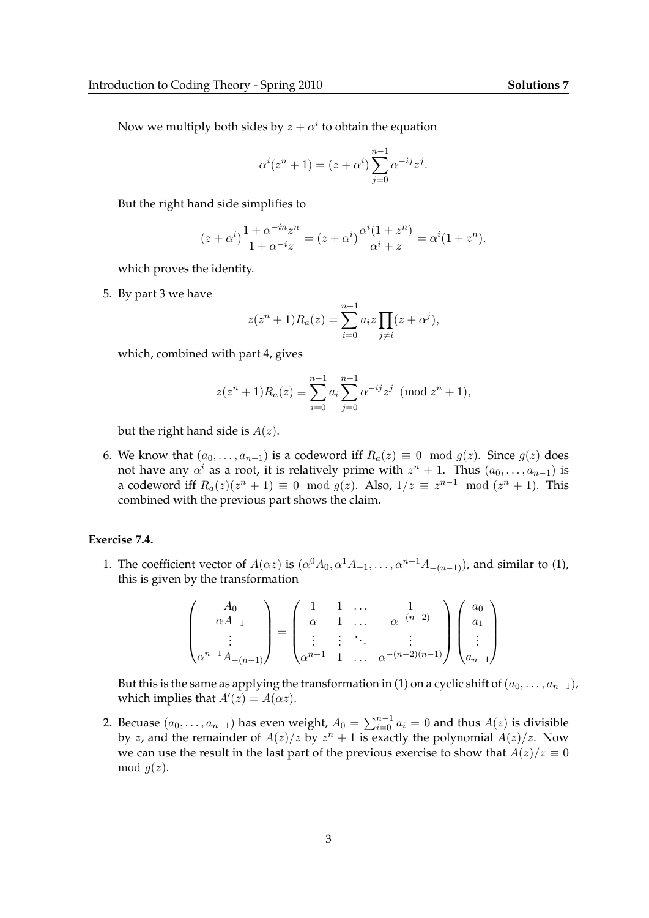Now we multiply both sides by  $z+\alpha^i$  to obtain the equation

$$
\alpha^{i}(z^{n}+1) = (z+\alpha^{i})\sum_{j=0}^{n-1} \alpha^{-ij} z^{j}.
$$

But the right hand side simplifies to

$$
(z+\alpha^i)\frac{1+\alpha^{-in}z^n}{1+\alpha^{-i}z} = (z+\alpha^i)\frac{\alpha^i(1+z^n)}{\alpha^i+z} = \alpha^i(1+z^n).
$$

which proves the identity.

5. By part 3 we have

$$
z(z^{n} + 1)R_{a}(z) = \sum_{i=0}^{n-1} a_{i}z \prod_{j \neq i} (z + \alpha^{j}),
$$

which, combined with part 4, gives

$$
z(z^{n}+1)R_{a}(z) \equiv \sum_{i=0}^{n-1} a_{i} \sum_{j=0}^{n-1} \alpha^{-ij} z^{j} \pmod{z^{n}+1},
$$

but the right hand side is  $A(z)$ .

6. We know that  $(a_0, \ldots, a_{n-1})$  is a codeword iff  $R_a(z) \equiv 0 \mod g(z)$ . Since  $g(z)$  does not have any  $\alpha^i$  as a root, it is relatively prime with  $z^n+1$ . Thus  $(a_0,\ldots,a_{n-1})$  is a codeword iff  $R_a(z)(z^n + 1) \equiv 0 \mod g(z)$ . Also,  $1/z \equiv z^{n-1} \mod (z^n + 1)$ . This combined with the previous part shows the claim.

## **Exercise 7.4.**

1. The coefficient vector of  $A(\alpha z)$  is  $(\alpha^0 A_0, \alpha^1 A_{-1}, \dots, \alpha^{n-1} A_{-(n-1)})$ , and similar to (1), this is given by the transformation

$$
\begin{pmatrix}\nA_0 \\
\alpha A_{-1} \\
\vdots \\
\alpha^{n-1} A_{-(n-1)}\n\end{pmatrix} = \begin{pmatrix}\n1 & 1 & \dots & 1 \\
\alpha & 1 & \dots & \alpha^{-(n-2)} \\
\vdots & \vdots & \ddots & \vdots \\
\alpha^{n-1} & 1 & \dots & \alpha^{-(n-2)(n-1)}\n\end{pmatrix} \begin{pmatrix}\na_0 \\
a_1 \\
\vdots \\
a_{n-1}\n\end{pmatrix}
$$

But this is the same as applying the transformation in (1) on a cyclic shift of  $(a_0, \ldots, a_{n-1})$ , which implies that  $A'(z) = A(\alpha z)$ .

2. Becuase  $(a_0, \ldots, a_{n-1})$  has even weight,  $A_0 = \sum_{i=0}^{n-1} a_i = 0$  and thus  $A(z)$  is divisible by z, and the remainder of  $A(z)/z$  by  $z<sup>n</sup> + 1$  is exactly the polynomial  $A(z)/z$ . Now we can use the result in the last part of the previous exercise to show that  $A(z)/z \equiv 0$ mod  $q(z)$ .